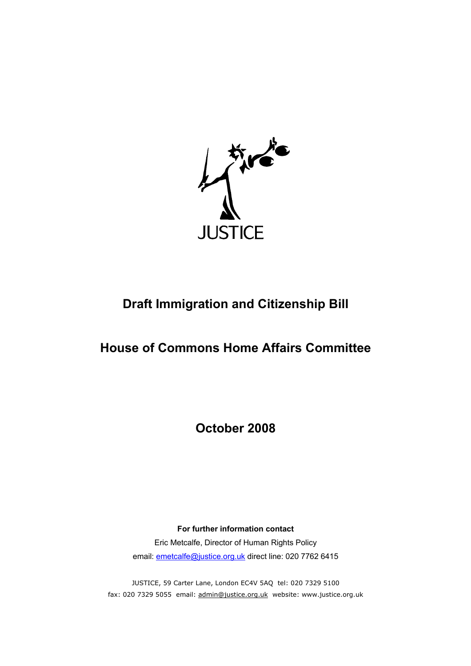

# **Draft Immigration and Citizenship Bill**

# **House of Commons Home Affairs Committee**

**October 2008**

**For further information contact** Eric Metcalfe, Director of Human Rights Policy email: **emetcalfe@justice.org.uk** direct line: 020 7762 6415

JUSTICE, 59 Carter Lane, London EC4V 5AQ tel: 020 7329 5100 fax: 020 7329 5055 email: [admin@justice.org.uk](mailto:admin@justice.org.uk) website: www.justice.org.uk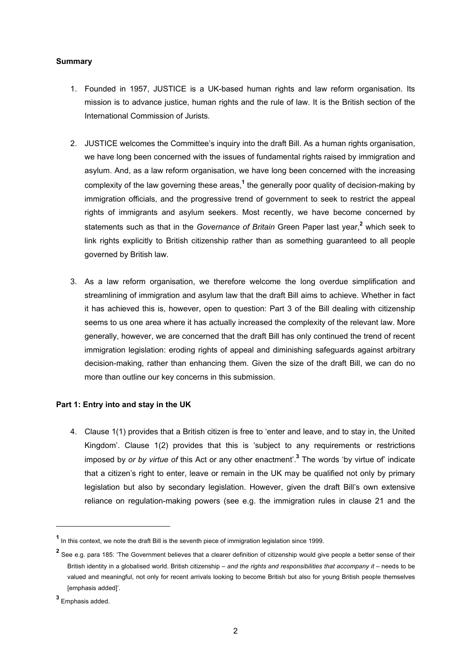# **Summary**

- 1. Founded in 1957, JUSTICE is a UK-based human rights and law reform organisation. Its mission is to advance justice, human rights and the rule of law. It is the British section of the International Commission of Jurists.
- 2. JUSTICE welcomes the Committee's inquiry into the draft Bill. As a human rights organisation, we have long been concerned with the issues of fundamental rights raised by immigration and asylum. And, as a law reform organisation, we have long been concerned with the increasing complexity of the law governing these areas,<sup>[1](#page-1-0)</sup> the generally poor quality of decision-making by immigration officials, and the progressive trend of government to seek to restrict the appeal rights of immigrants and asylum seekers. Most recently, we have become concerned by statements such as that in the *Governance of Britain* Green Paper last year,**[2](#page-1-1)** which seek to link rights explicitly to British citizenship rather than as something guaranteed to all people governed by British law.
- 3. As a law reform organisation, we therefore welcome the long overdue simplification and streamlining of immigration and asylum law that the draft Bill aims to achieve. Whether in fact it has achieved this is, however, open to question: Part 3 of the Bill dealing with citizenship seems to us one area where it has actually increased the complexity of the relevant law. More generally, however, we are concerned that the draft Bill has only continued the trend of recent immigration legislation: eroding rights of appeal and diminishing safeguards against arbitrary decision-making, rather than enhancing them. Given the size of the draft Bill, we can do no more than outline our key concerns in this submission.

# **Part 1: Entry into and stay in the UK**

4. Clause 1(1) provides that a British citizen is free to 'enter and leave, and to stay in, the United Kingdom'. Clause 1(2) provides that this is 'subject to any requirements or restrictions imposed by *or by virtue of* this Act or any other enactment'.**[3](#page-1-2)** The words 'by virtue of' indicate that a citizen's right to enter, leave or remain in the UK may be qualified not only by primary legislation but also by secondary legislation. However, given the draft Bill's own extensive reliance on regulation-making powers (see e.g. the immigration rules in clause 21 and the

<span id="page-1-0"></span>**<sup>1</sup>** In this context, we note the draft Bill is the seventh piece of immigration legislation since 1999.

<span id="page-1-1"></span>**<sup>2</sup>** See e.g. para 185: 'The Government believes that a clearer definition of citizenship would give people a better sense of their British identity in a globalised world. British citizenship – *and the rights and responsibilities that accompany it* – needs to be valued and meaningful, not only for recent arrivals looking to become British but also for young British people themselves [emphasis added]'.

<span id="page-1-2"></span>**<sup>3</sup>** Emphasis added.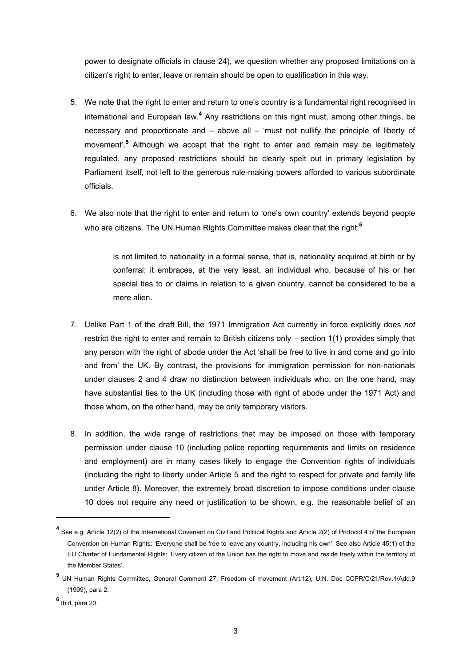power to designate officials in clause 24), we question whether any proposed limitations on a citizen's right to enter, leave or remain should be open to qualification in this way.

- 5. We note that the right to enter and return to one's country is a fundamental right recognised in international and European law.<sup>[4](#page-2-0)</sup> Any restrictions on this right must, among other things, be necessary and proportionate and – above all – 'must not nullify the principle of liberty of movement<sup>', [5](#page-2-1)</sup> Although we accept that the right to enter and remain may be legitimately regulated, any proposed restrictions should be clearly spelt out in primary legislation by Parliament itself, not left to the generous rule-making powers afforded to various subordinate officials.
- 6. We also note that the right to enter and return to 'one's own country' extends beyond people who are citizens. The UN Human Rights Committee makes clear that the right:**[6](#page-2-2)**

is not limited to nationality in a formal sense, that is, nationality acquired at birth or by conferral; it embraces, at the very least, an individual who, because of his or her special ties to or claims in relation to a given country, cannot be considered to be a mere alien.

- 7. Unlike Part 1 of the draft Bill, the 1971 Immigration Act currently in force explicitly does *not* restrict the right to enter and remain to British citizens only – section 1(1) provides simply that any person with the right of abode under the Act 'shall be free to live in and come and go into and from' the UK. By contrast, the provisions for immigration permission for non-nationals under clauses 2 and 4 draw no distinction between individuals who, on the one hand, may have substantial ties to the UK (including those with right of abode under the 1971 Act) and those whom, on the other hand, may be only temporary visitors.
- 8. In addition, the wide range of restrictions that may be imposed on those with temporary permission under clause 10 (including police reporting requirements and limits on residence and employment) are in many cases likely to engage the Convention rights of individuals (including the right to liberty under Article 5 and the right to respect for private and family life under Article 8). Moreover, the extremely broad discretion to impose conditions under clause 10 does not require any need or justification to be shown, e.g. the reasonable belief of an

<span id="page-2-0"></span>**<sup>4</sup>** See e.g. Article 12(2) of the International Covenant on Civil and Political Rights and Article 2(2) of Protocol 4 of the European Convention on Human Rights: 'Everyone shall be free to leave any country, including his own'. See also Article 45(1) of the EU Charter of Fundamental Rights: 'Every citizen of the Union has the right to move and reside freely within the territory of the Member States'.

<span id="page-2-1"></span>**<sup>5</sup>** UN Human Rights Committee, General Comment 27, Freedom of movement (Art.12), U.N. Doc CCPR/C/21/Rev.1/Add.9 (1999), para 2.

<span id="page-2-2"></span>**<sup>6</sup>** Ibid, para 20.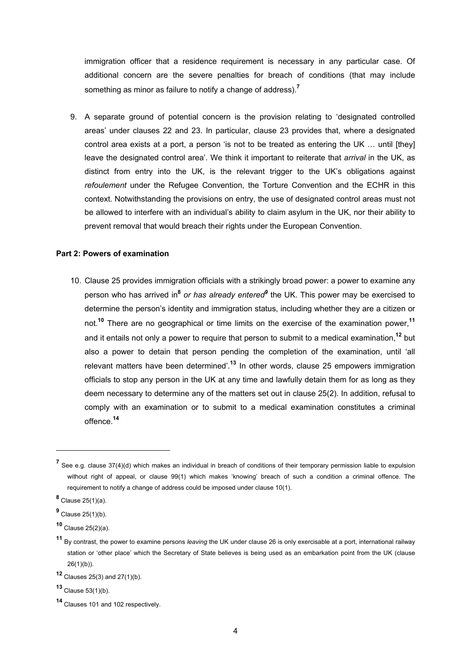immigration officer that a residence requirement is necessary in any particular case. Of additional concern are the severe penalties for breach of conditions (that may include something as minor as failure to notify a change of address).**[7](#page-3-0)**

9. A separate ground of potential concern is the provision relating to 'designated controlled areas' under clauses 22 and 23. In particular, clause 23 provides that, where a designated control area exists at a port, a person 'is not to be treated as entering the UK ... until [they] leave the designated control area'. We think it important to reiterate that *arrival* in the UK, as distinct from entry into the UK, is the relevant trigger to the UK's obligations against *refoulement* under the Refugee Convention, the Torture Convention and the ECHR in this context. Notwithstanding the provisions on entry, the use of designated control areas must not be allowed to interfere with an individual's ability to claim asylum in the UK, nor their ability to prevent removal that would breach their rights under the European Convention.

#### **Part 2: Powers of examination**

10. Clause 25 provides immigration officials with a strikingly broad power: a power to examine any person who has arrived in**[8](#page-3-1)** *or has already entered[9](#page-3-2)* the UK. This power may be exercised to determine the person's identity and immigration status, including whether they are a citizen or not.**[10](#page-3-3)** There are no geographical or time limits on the exercise of the examination power,**[11](#page-3-4)** and it entails not only a power to require that person to submit to a medical examination,**[12](#page-3-5)** but also a power to detain that person pending the completion of the examination, until 'all relevant matters have been determined'. **[13](#page-3-6)** In other words, clause 25 empowers immigration officials to stop any person in the UK at any time and lawfully detain them for as long as they deem necessary to determine any of the matters set out in clause 25(2). In addition, refusal to comply with an examination or to submit to a medical examination constitutes a criminal offence.**[14](#page-3-7)**

<span id="page-3-0"></span>**<sup>7</sup>** See e.g. clause 37(4)(d) which makes an individual in breach of conditions of their temporary permission liable to expulsion without right of appeal, or clause 99(1) which makes 'knowing' breach of such a condition a criminal offence. The requirement to notify a change of address could be imposed under clause 10(1).

<span id="page-3-1"></span>**<sup>8</sup>** Clause 25(1)(a).

<span id="page-3-2"></span>**<sup>9</sup>** Clause 25(1)(b).

<span id="page-3-3"></span>**<sup>10</sup>** Clause 25(2)(a).

<span id="page-3-4"></span>**<sup>11</sup>** By contrast, the power to examine persons *leaving* the UK under clause 26 is only exercisable at a port, international railway station or 'other place' which the Secretary of State believes is being used as an embarkation point from the UK (clause 26(1)(b)).

<span id="page-3-5"></span>**<sup>12</sup>** Clauses 25(3) and 27(1)(b).

<span id="page-3-6"></span>**<sup>13</sup>** Clause 53(1)(b).

<span id="page-3-7"></span>**<sup>14</sup>** Clauses 101 and 102 respectively.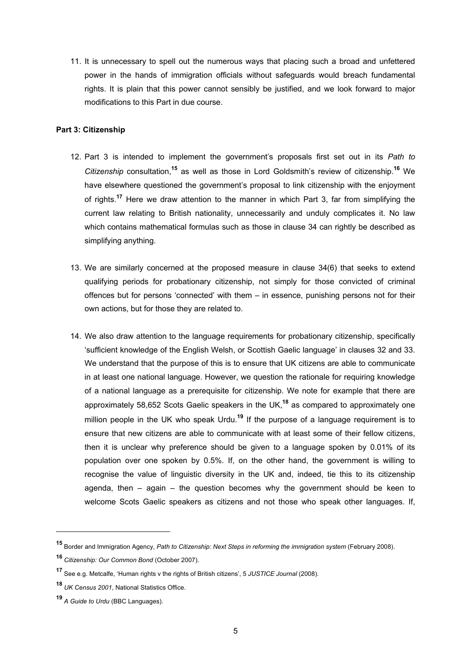11. It is unnecessary to spell out the numerous ways that placing such a broad and unfettered power in the hands of immigration officials without safeguards would breach fundamental rights. It is plain that this power cannot sensibly be justified, and we look forward to major modifications to this Part in due course.

# **Part 3: Citizenship**

- 12. Part 3 is intended to implement the government's proposals first set out in its *Path to Citizenship* consultation,**[15](#page-4-0)** as well as those in Lord Goldsmith's review of citizenship.**[16](#page-4-1)** We have elsewhere questioned the government's proposal to link citizenship with the enjoyment of rights.**[17](#page-4-2)** Here we draw attention to the manner in which Part 3, far from simplifying the current law relating to British nationality, unnecessarily and unduly complicates it. No law which contains mathematical formulas such as those in clause 34 can rightly be described as simplifying anything.
- 13. We are similarly concerned at the proposed measure in clause 34(6) that seeks to extend qualifying periods for probationary citizenship, not simply for those convicted of criminal offences but for persons 'connected' with them – in essence, punishing persons not for their own actions, but for those they are related to.
- 14. We also draw attention to the language requirements for probationary citizenship, specifically 'sufficient knowledge of the English Welsh, or Scottish Gaelic language' in clauses 32 and 33. We understand that the purpose of this is to ensure that UK citizens are able to communicate in at least one national language. However, we question the rationale for requiring knowledge of a national language as a prerequisite for citizenship. We note for example that there are approximately 58,652 Scots Gaelic speakers in the UK,**[18](#page-4-3)** as compared to approximately one million people in the UK who speak Urdu.**[19](#page-4-4)** If the purpose of a language requirement is to ensure that new citizens are able to communicate with at least some of their fellow citizens, then it is unclear why preference should be given to a language spoken by 0.01% of its population over one spoken by 0.5%. If, on the other hand, the government is willing to recognise the value of linguistic diversity in the UK and, indeed, tie this to its citizenship agenda, then – again – the question becomes why the government should be keen to welcome Scots Gaelic speakers as citizens and not those who speak other languages. If,

<span id="page-4-0"></span>**<sup>15</sup>** Border and Immigration Agency, *Path to Citizenship: Next Steps in reforming the immigration system* (February 2008).

<span id="page-4-1"></span>**<sup>16</sup>** *Citizenship: Our Common Bond* (October 2007).

<span id="page-4-2"></span>**<sup>17</sup>** See e.g. Metcalfe, 'Human rights v the rights of British citizens', 5 *JUSTICE Journal* (2008).

<span id="page-4-3"></span>**<sup>18</sup>** *UK Census 2001*, National Statistics Office.

<span id="page-4-4"></span>**<sup>19</sup>** *A Guide to Urdu* (BBC Languages).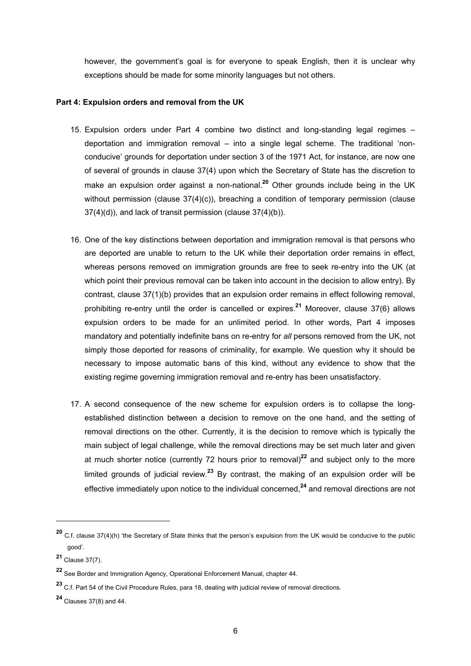however, the government's goal is for everyone to speak English, then it is unclear why exceptions should be made for some minority languages but not others.

### **Part 4: Expulsion orders and removal from the UK**

- 15. Expulsion orders under Part 4 combine two distinct and long-standing legal regimes deportation and immigration removal – into a single legal scheme. The traditional 'nonconducive' grounds for deportation under section 3 of the 1971 Act, for instance, are now one of several of grounds in clause 37(4) upon which the Secretary of State has the discretion to make an expulsion order against a non-national.**[20](#page-5-0)** Other grounds include being in the UK without permission (clause 37(4)(c)), breaching a condition of temporary permission (clause 37(4)(d)), and lack of transit permission (clause 37(4)(b)).
- 16. One of the key distinctions between deportation and immigration removal is that persons who are deported are unable to return to the UK while their deportation order remains in effect, whereas persons removed on immigration grounds are free to seek re-entry into the UK (at which point their previous removal can be taken into account in the decision to allow entry). By contrast, clause 37(1)(b) provides that an expulsion order remains in effect following removal, prohibiting re-entry until the order is cancelled or expires.**[21](#page-5-1)** Moreover, clause 37(6) allows expulsion orders to be made for an unlimited period. In other words, Part 4 imposes mandatory and potentially indefinite bans on re-entry for *all* persons removed from the UK, not simply those deported for reasons of criminality, for example. We question why it should be necessary to impose automatic bans of this kind, without any evidence to show that the existing regime governing immigration removal and re-entry has been unsatisfactory.
- 17. A second consequence of the new scheme for expulsion orders is to collapse the longestablished distinction between a decision to remove on the one hand, and the setting of removal directions on the other. Currently, it is the decision to remove which is typically the main subject of legal challenge, while the removal directions may be set much later and given at much shorter notice (currently 72 hours prior to removal)**[22](#page-5-2)** and subject only to the more limited grounds of judicial review. **[23](#page-5-3)** By contrast, the making of an expulsion order will be effective immediately upon notice to the individual concerned,**[24](#page-5-4)** and removal directions are not

<span id="page-5-0"></span>**<sup>20</sup>** C.f. clause 37(4)(h) 'the Secretary of State thinks that the person's expulsion from the UK would be conducive to the public good'.

<span id="page-5-1"></span>**<sup>21</sup>** Clause 37(7).

<span id="page-5-2"></span>**<sup>22</sup>** See Border and Immigration Agency, Operational Enforcement Manual, chapter 44.

<span id="page-5-3"></span>**<sup>23</sup>** C.f. Part 54 of the Civil Procedure Rules, para 18, dealing with judicial review of removal directions.

<span id="page-5-4"></span>**<sup>24</sup>** Clauses 37(8) and 44.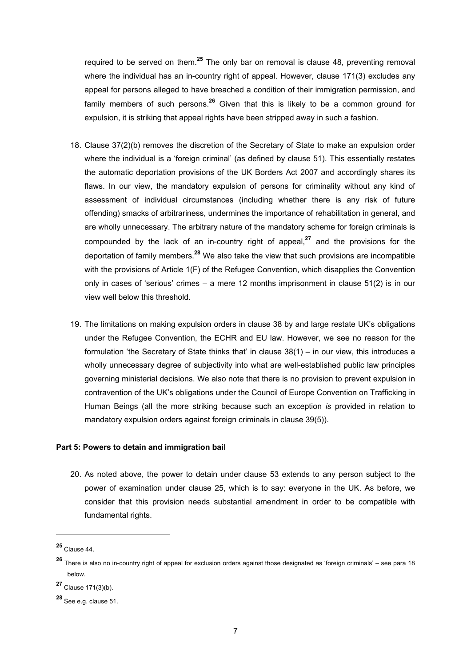required to be served on them.**[25](#page-6-0)** The only bar on removal is clause 48, preventing removal where the individual has an in-country right of appeal. However, clause 171(3) excludes any appeal for persons alleged to have breached a condition of their immigration permission, and family members of such persons. **[26](#page-6-1)** Given that this is likely to be a common ground for expulsion, it is striking that appeal rights have been stripped away in such a fashion.

- 18. Clause 37(2)(b) removes the discretion of the Secretary of State to make an expulsion order where the individual is a 'foreign criminal' (as defined by clause 51). This essentially restates the automatic deportation provisions of the UK Borders Act 2007 and accordingly shares its flaws. In our view, the mandatory expulsion of persons for criminality without any kind of assessment of individual circumstances (including whether there is any risk of future offending) smacks of arbitrariness, undermines the importance of rehabilitation in general, and are wholly unnecessary. The arbitrary nature of the mandatory scheme for foreign criminals is compounded by the lack of an in-country right of appeal,**[27](#page-6-2)** and the provisions for the deportation of family members.**[28](#page-6-3)** We also take the view that such provisions are incompatible with the provisions of Article 1(F) of the Refugee Convention, which disapplies the Convention only in cases of 'serious' crimes – a mere 12 months imprisonment in clause 51(2) is in our view well below this threshold.
- 19. The limitations on making expulsion orders in clause 38 by and large restate UK's obligations under the Refugee Convention, the ECHR and EU law. However, we see no reason for the formulation 'the Secretary of State thinks that' in clause 38(1) – in our view, this introduces a wholly unnecessary degree of subjectivity into what are well-established public law principles governing ministerial decisions. We also note that there is no provision to prevent expulsion in contravention of the UK's obligations under the Council of Europe Convention on Trafficking in Human Beings (all the more striking because such an exception *is* provided in relation to mandatory expulsion orders against foreign criminals in clause 39(5)).

# **Part 5: Powers to detain and immigration bail**

20. As noted above, the power to detain under clause 53 extends to any person subject to the power of examination under clause 25, which is to say: everyone in the UK. As before, we consider that this provision needs substantial amendment in order to be compatible with fundamental rights.

<span id="page-6-0"></span>**<sup>25</sup>** Clause 44.

<span id="page-6-1"></span>**<sup>26</sup>** There is also no in-country right of appeal for exclusion orders against those designated as 'foreign criminals' – see para 18 below.

<span id="page-6-2"></span>**<sup>27</sup>** Clause 171(3)(b).

<span id="page-6-3"></span>**<sup>28</sup>** See e.g. clause 51.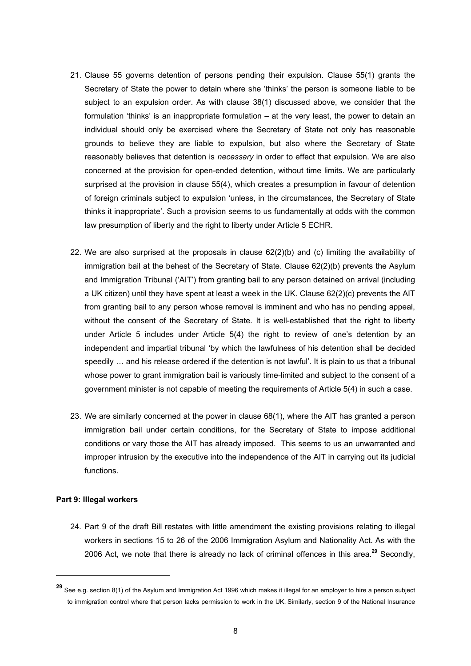- <span id="page-7-0"></span>21. Clause 55 governs detention of persons pending their expulsion. Clause 55(1) grants the Secretary of State the power to detain where she 'thinks' the person is someone liable to be subject to an expulsion order. As with clause 38(1) discussed above, we consider that the formulation 'thinks' is an inappropriate formulation – at the very least, the power to detain an individual should only be exercised where the Secretary of State not only has reasonable grounds to believe they are liable to expulsion, but also where the Secretary of State reasonably believes that detention is *necessary* in order to effect that expulsion. We are also concerned at the provision for open-ended detention, without time limits. We are particularly surprised at the provision in clause 55(4), which creates a presumption in favour of detention of foreign criminals subject to expulsion 'unless, in the circumstances, the Secretary of State thinks it inappropriate'. Such a provision seems to us fundamentally at odds with the common law presumption of liberty and the right to liberty under Article 5 ECHR.
- 22. We are also surprised at the proposals in clause 62(2)(b) and (c) limiting the availability of immigration bail at the behest of the Secretary of State. Clause 62(2)(b) prevents the Asylum and Immigration Tribunal ('AIT') from granting bail to any person detained on arrival (including a UK citizen) until they have spent at least a week in the UK. Clause 62(2)(c) prevents the AIT from granting bail to any person whose removal is imminent and who has no pending appeal, without the consent of the Secretary of State. It is well-established that the right to liberty under Article 5 includes under Article 5(4) the right to review of one's detention by an independent and impartial tribunal 'by which the lawfulness of his detention shall be decided speedily … and his release ordered if the detention is not lawful'. It is plain to us that a tribunal whose power to grant immigration bail is variously time-limited and subject to the consent of a government minister is not capable of meeting the requirements of Article 5(4) in such a case.
- 23. We are similarly concerned at the power in clause 68(1), where the AIT has granted a person immigration bail under certain conditions, for the Secretary of State to impose additional conditions or vary those the AIT has already imposed. This seems to us an unwarranted and improper intrusion by the executive into the independence of the AIT in carrying out its judicial functions.

#### **Part 9: Illegal workers**

 $\overline{a}$ 

24. Part 9 of the draft Bill restates with little amendment the existing provisions relating to illegal workers in sections 15 to 26 of the 2006 Immigration Asylum and Nationality Act. As with the 2006 Act, we note that there is already no lack of criminal offences in this area. **[29](#page-7-0)** Secondly,

**<sup>29</sup>** See e.g. section 8(1) of the Asylum and Immigration Act 1996 which makes it illegal for an employer to hire a person subject to immigration control where that person lacks permission to work in the UK. Similarly, section 9 of the National Insurance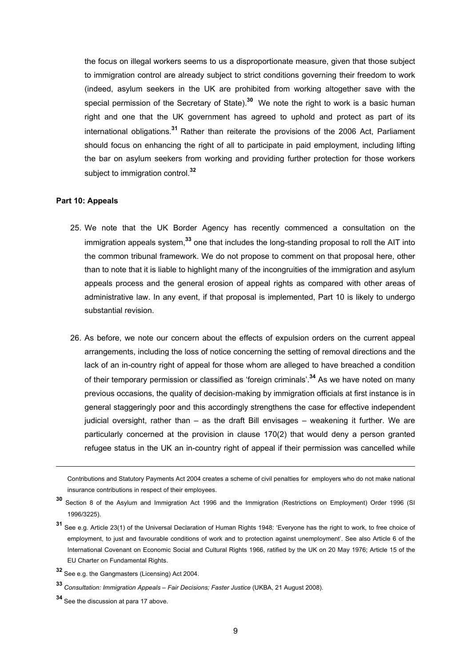the focus on illegal workers seems to us a disproportionate measure, given that those subject to immigration control are already subject to strict conditions governing their freedom to work (indeed, asylum seekers in the UK are prohibited from working altogether save with the special permission of the Secretary of State).**[30](#page-8-0)** We note the right to work is a basic human right and one that the UK government has agreed to uphold and protect as part of its international obligations. **[31](#page-8-1)** Rather than reiterate the provisions of the 2006 Act, Parliament should focus on enhancing the right of all to participate in paid employment, including lifting the bar on asylum seekers from working and providing further protection for those workers subject to immigration control.**[32](#page-8-2)**

#### **Part 10: Appeals**

- 25. We note that the UK Border Agency has recently commenced a consultation on the immigration appeals system, **[33](#page-8-3)** one that includes the long-standing proposal to roll the AIT into the common tribunal framework. We do not propose to comment on that proposal here, other than to note that it is liable to highlight many of the incongruities of the immigration and asylum appeals process and the general erosion of appeal rights as compared with other areas of administrative law. In any event, if that proposal is implemented, Part 10 is likely to undergo substantial revision.
- 26. As before, we note our concern about the effects of expulsion orders on the current appeal arrangements, including the loss of notice concerning the setting of removal directions and the lack of an in-country right of appeal for those whom are alleged to have breached a condition of their temporary permission or classified as 'foreign criminals'.**[34](#page-8-4)** As we have noted on many previous occasions, the quality of decision-making by immigration officials at first instance is in general staggeringly poor and this accordingly strengthens the case for effective independent judicial oversight, rather than – as the draft Bill envisages – weakening it further. We are particularly concerned at the provision in clause 170(2) that would deny a person granted refugee status in the UK an in-country right of appeal if their permission was cancelled while

Contributions and Statutory Payments Act 2004 creates a scheme of civil penalties for employers who do not make national insurance contributions in respect of their employees.

<span id="page-8-0"></span>**<sup>30</sup>** Section 8 of the Asylum and Immigration Act 1996 and the Immigration (Restrictions on Employment) Order 1996 (SI 1996/3225).

<span id="page-8-1"></span>**<sup>31</sup>** See e.g. Article 23(1) of the Universal Declaration of Human Rights 1948: 'Everyone has the right to work, to free choice of employment, to just and favourable conditions of work and to protection against unemployment'. See also Article 6 of the International Covenant on Economic Social and Cultural Rights 1966, ratified by the UK on 20 May 1976; Article 15 of the EU Charter on Fundamental Rights.

<span id="page-8-2"></span>**<sup>32</sup>** See e.g. the Gangmasters (Licensing) Act 2004.

<span id="page-8-3"></span>**<sup>33</sup>** *Consultation: Immigration Appeals – Fair Decisions; Faster Justice* (UKBA, 21 August 2008).

<span id="page-8-4"></span>**<sup>34</sup>** See the discussion at para 17 above.